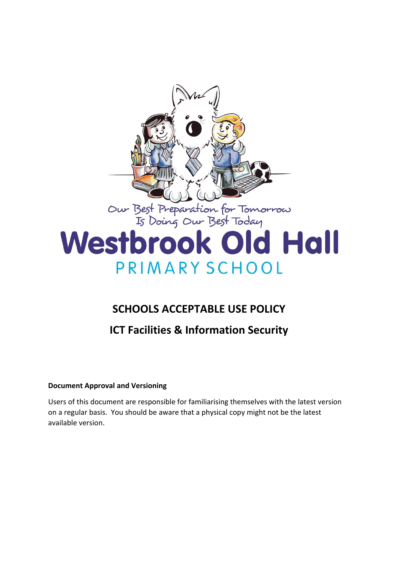

# **SCHOOLS ACCEPTABLE USE POLICY**

# **ICT Facilities & Information Security**

# **Document Approval and Versioning**

Users of this document are responsible for familiarising themselves with the latest version on a regular basis. You should be aware that a physical copy might not be the latest available version.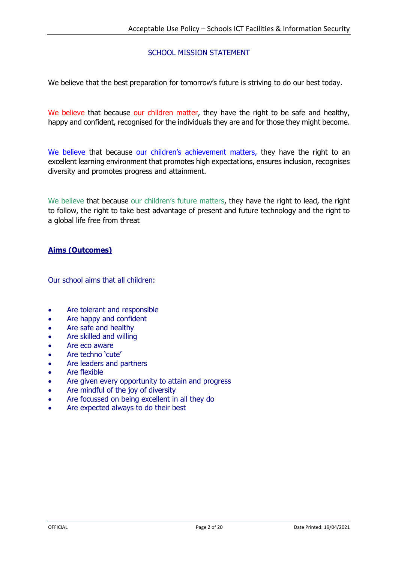# SCHOOL MISSION STATEMENT

We believe that the best preparation for tomorrow's future is striving to do our best today.

We believe that because our children matter, they have the right to be safe and healthy, happy and confident, recognised for the individuals they are and for those they might become.

We believe that because our children's achievement matters, they have the right to an excellent learning environment that promotes high expectations, ensures inclusion, recognises diversity and promotes progress and attainment.

We believe that because our children's future matters, they have the right to lead, the right to follow, the right to take best advantage of present and future technology and the right to a global life free from threat

# **Aims (Outcomes)**

Our school aims that all children:

- Are tolerant and responsible
- Are happy and confident
- Are safe and healthy
- Are skilled and willing
- Are eco aware
- Are techno 'cute'
- Are leaders and partners
- Are flexible
- Are given every opportunity to attain and progress
- Are mindful of the joy of diversity
- Are focussed on being excellent in all they do
- Are expected always to do their best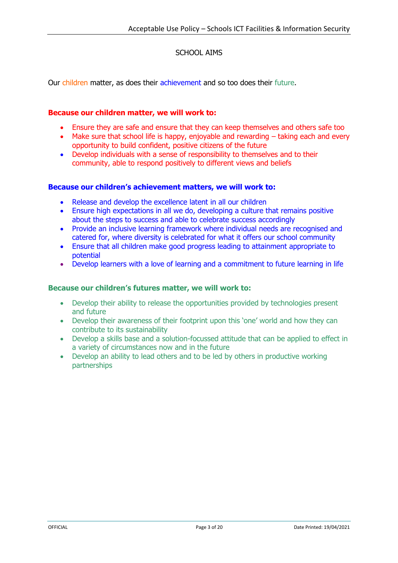# SCHOOL AIMS

Our children matter, as does their achievement and so too does their future.

# **Because our children matter, we will work to:**

- Ensure they are safe and ensure that they can keep themselves and others safe too
- Make sure that school life is happy, enjoyable and rewarding taking each and every opportunity to build confident, positive citizens of the future
- Develop individuals with a sense of responsibility to themselves and to their community, able to respond positively to different views and beliefs

#### **Because our children's achievement matters, we will work to:**

- Release and develop the excellence latent in all our children
- Ensure high expectations in all we do, developing a culture that remains positive about the steps to success and able to celebrate success accordingly
- Provide an inclusive learning framework where individual needs are recognised and catered for, where diversity is celebrated for what it offers our school community
- Ensure that all children make good progress leading to attainment appropriate to potential
- Develop learners with a love of learning and a commitment to future learning in life

#### **Because our children's futures matter, we will work to:**

- Develop their ability to release the opportunities provided by technologies present and future
- Develop their awareness of their footprint upon this 'one' world and how they can contribute to its sustainability
- Develop a skills base and a solution-focussed attitude that can be applied to effect in a variety of circumstances now and in the future
- Develop an ability to lead others and to be led by others in productive working partnerships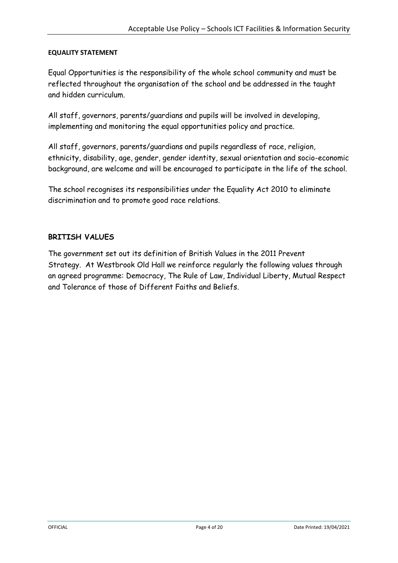### **EQUALITY STATEMENT**

Equal Opportunities is the responsibility of the whole school community and must be reflected throughout the organisation of the school and be addressed in the taught and hidden curriculum.

All staff, governors, parents/guardians and pupils will be involved in developing, implementing and monitoring the equal opportunities policy and practice.

All staff, governors, parents/guardians and pupils regardless of race, religion, ethnicity, disability, age, gender, gender identity, sexual orientation and socio-economic background, are welcome and will be encouraged to participate in the life of the school.

The school recognises its responsibilities under the Equality Act 2010 to eliminate discrimination and to promote good race relations.

# **BRITISH VALUES**

The government set out its definition of British Values in the 2011 Prevent Strategy. At Westbrook Old Hall we reinforce regularly the following values through an agreed programme: Democracy, The Rule of Law, Individual Liberty, Mutual Respect and Tolerance of those of Different Faiths and Beliefs.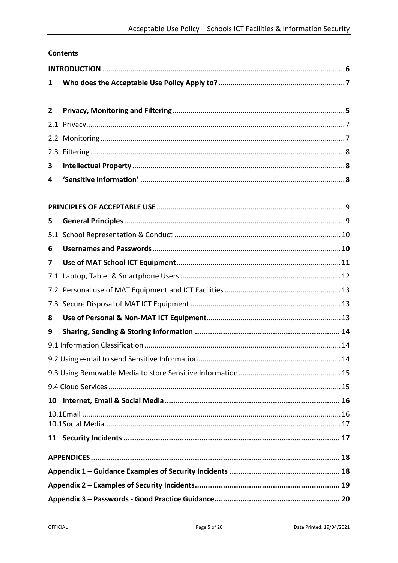|                | <b>Contents</b> |  |  |
|----------------|-----------------|--|--|
|                |                 |  |  |
| 1              |                 |  |  |
|                |                 |  |  |
| $\overline{2}$ |                 |  |  |
|                |                 |  |  |
|                |                 |  |  |
| 2.3            |                 |  |  |
| 3              |                 |  |  |
| 4              |                 |  |  |
|                |                 |  |  |
|                |                 |  |  |
| 5              |                 |  |  |
| 5.1            |                 |  |  |
| 6              |                 |  |  |
| 7              |                 |  |  |
|                |                 |  |  |
|                |                 |  |  |
|                |                 |  |  |
| 8              |                 |  |  |
| 9              |                 |  |  |
|                |                 |  |  |
|                |                 |  |  |
|                |                 |  |  |
|                |                 |  |  |
| 10             |                 |  |  |
|                |                 |  |  |
|                |                 |  |  |
|                |                 |  |  |
|                |                 |  |  |
|                |                 |  |  |
|                |                 |  |  |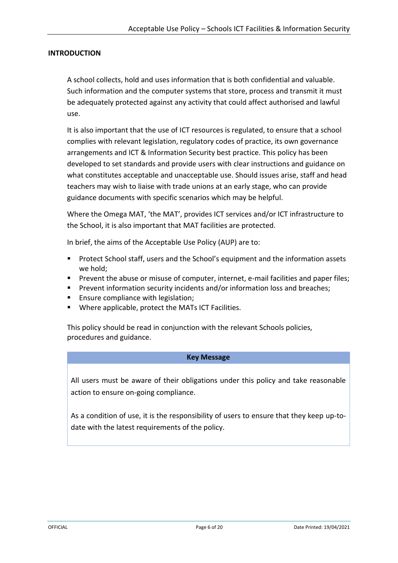# **INTRODUCTION**

A school collects, hold and uses information that is both confidential and valuable. Such information and the computer systems that store, process and transmit it must be adequately protected against any activity that could affect authorised and lawful use.

It is also important that the use of ICT resources is regulated, to ensure that a school complies with relevant legislation, regulatory codes of practice, its own governance arrangements and ICT & Information Security best practice. This policy has been developed to set standards and provide users with clear instructions and guidance on what constitutes acceptable and unacceptable use. Should issues arise, staff and head teachers may wish to liaise with trade unions at an early stage, who can provide guidance documents with specific scenarios which may be helpful.

Where the Omega MAT, 'the MAT', provides ICT services and/or ICT infrastructure to the School, it is also important that MAT facilities are protected.

In brief, the aims of the Acceptable Use Policy (AUP) are to:

- Protect School staff, users and the School's equipment and the information assets we hold;
- **•** Prevent the abuse or misuse of computer, internet, e-mail facilities and paper files;
- **•** Prevent information security incidents and/or information loss and breaches;
- Ensure compliance with legislation;
- Where applicable, protect the MATs ICT Facilities.

This policy should be read in conjunction with the relevant Schools policies, procedures and guidance.

# **Key Message**

All users must be aware of their obligations under this policy and take reasonable action to ensure on-going compliance.

As a condition of use, it is the responsibility of users to ensure that they keep up-todate with the latest requirements of the policy.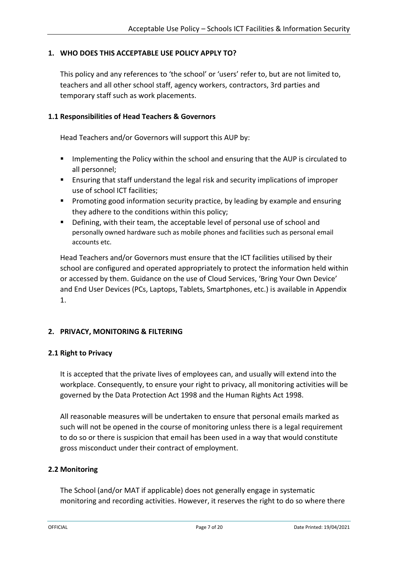# **1. WHO DOES THIS ACCEPTABLE USE POLICY APPLY TO?**

This policy and any references to 'the school' or 'users' refer to, but are not limited to, teachers and all other school staff, agency workers, contractors, 3rd parties and temporary staff such as work placements.

# **1.1 Responsibilities of Head Teachers & Governors**

Head Teachers and/or Governors will support this AUP by:

- Implementing the Policy within the school and ensuring that the AUP is circulated to all personnel;
- Ensuring that staff understand the legal risk and security implications of improper use of school ICT facilities;
- **•** Promoting good information security practice, by leading by example and ensuring they adhere to the conditions within this policy;
- Defining, with their team, the acceptable level of personal use of school and personally owned hardware such as mobile phones and facilities such as personal email accounts etc.

Head Teachers and/or Governors must ensure that the ICT facilities utilised by their school are configured and operated appropriately to protect the information held within or accessed by them. Guidance on the use of Cloud Services, 'Bring Your Own Device' and End User Devices (PCs, Laptops, Tablets, Smartphones, etc.) is available in Appendix 1.

# **2. PRIVACY, MONITORING & FILTERING**

#### **2.1 Right to Privacy**

It is accepted that the private lives of employees can, and usually will extend into the workplace. Consequently, to ensure your right to privacy, all monitoring activities will be governed by the Data Protection Act 1998 and the Human Rights Act 1998.

All reasonable measures will be undertaken to ensure that personal emails marked as such will not be opened in the course of monitoring unless there is a legal requirement to do so or there is suspicion that email has been used in a way that would constitute gross misconduct under their contract of employment.

#### **2.2 Monitoring**

The School (and/or MAT if applicable) does not generally engage in systematic monitoring and recording activities. However, it reserves the right to do so where there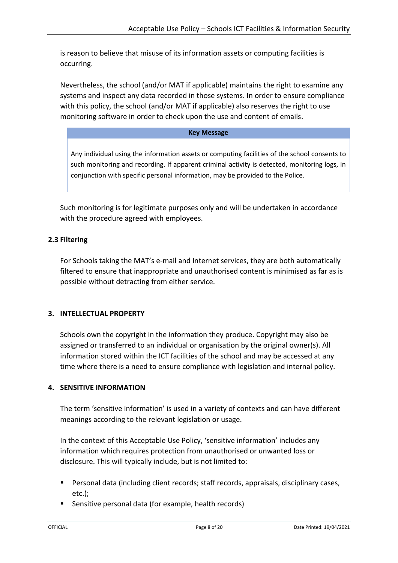is reason to believe that misuse of its information assets or computing facilities is occurring.

Nevertheless, the school (and/or MAT if applicable) maintains the right to examine any systems and inspect any data recorded in those systems. In order to ensure compliance with this policy, the school (and/or MAT if applicable) also reserves the right to use monitoring software in order to check upon the use and content of emails.

# **Key Message**

Any individual using the information assets or computing facilities of the school consents to such monitoring and recording. If apparent criminal activity is detected, monitoring logs, in conjunction with specific personal information, may be provided to the Police.

Such monitoring is for legitimate purposes only and will be undertaken in accordance with the procedure agreed with employees.

# **2.3 Filtering**

For Schools taking the MAT's e-mail and Internet services, they are both automatically filtered to ensure that inappropriate and unauthorised content is minimised as far as is possible without detracting from either service.

# **3. INTELLECTUAL PROPERTY**

Schools own the copyright in the information they produce. Copyright may also be assigned or transferred to an individual or organisation by the original owner(s). All information stored within the ICT facilities of the school and may be accessed at any time where there is a need to ensure compliance with legislation and internal policy.

# **4. SENSITIVE INFORMATION**

The term 'sensitive information' is used in a variety of contexts and can have different meanings according to the relevant legislation or usage.

In the context of this Acceptable Use Policy, 'sensitive information' includes any information which requires protection from unauthorised or unwanted loss or disclosure. This will typically include, but is not limited to:

- Personal data (including client records; staff records, appraisals, disciplinary cases, etc.);
- Sensitive personal data (for example, health records)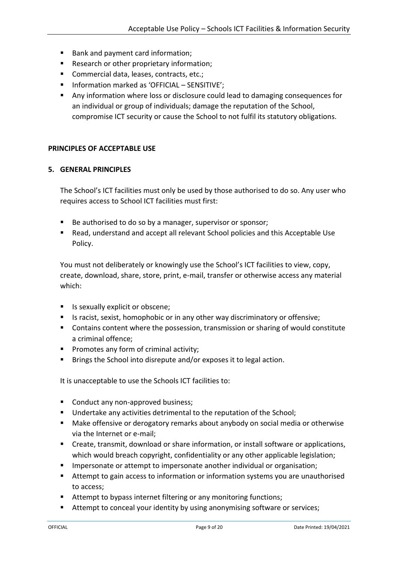- Bank and payment card information;
- Research or other proprietary information;
- Commercial data, leases, contracts, etc.;
- Information marked as 'OFFICIAL SENSITIVE':
- Any information where loss or disclosure could lead to damaging consequences for an individual or group of individuals; damage the reputation of the School, compromise ICT security or cause the School to not fulfil its statutory obligations.

# **PRINCIPLES OF ACCEPTABLE USE**

#### **5. GENERAL PRINCIPLES**

The School's ICT facilities must only be used by those authorised to do so. Any user who requires access to School ICT facilities must first:

- Be authorised to do so by a manager, supervisor or sponsor;
- Read, understand and accept all relevant School policies and this Acceptable Use Policy.

You must not deliberately or knowingly use the School's ICT facilities to view, copy, create, download, share, store, print, e-mail, transfer or otherwise access any material which:

- Is sexually explicit or obscene;
- Is racist, sexist, homophobic or in any other way discriminatory or offensive;
- Contains content where the possession, transmission or sharing of would constitute a criminal offence;
- Promotes any form of criminal activity;
- Brings the School into disrepute and/or exposes it to legal action.

It is unacceptable to use the Schools ICT facilities to:

- Conduct any non-approved business;
- Undertake any activities detrimental to the reputation of the School;
- Make offensive or derogatory remarks about anybody on social media or otherwise via the Internet or e-mail;
- Create, transmit, download or share information, or install software or applications, which would breach copyright, confidentiality or any other applicable legislation;
- **E** Impersonate or attempt to impersonate another individual or organisation;
- Attempt to gain access to information or information systems you are unauthorised to access;
- Attempt to bypass internet filtering or any monitoring functions;
- Attempt to conceal your identity by using anonymising software or services;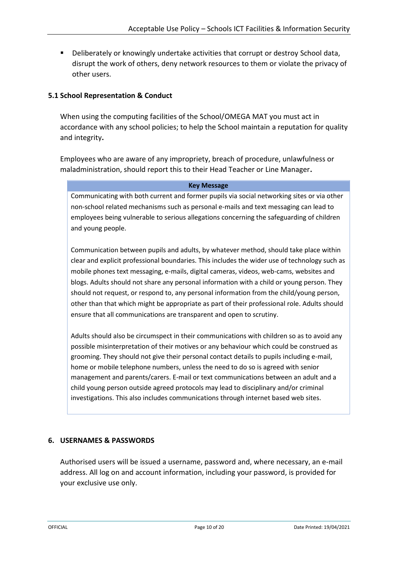Deliberately or knowingly undertake activities that corrupt or destroy School data, disrupt the work of others, deny network resources to them or violate the privacy of other users.

# **5.1 School Representation & Conduct**

When using the computing facilities of the School/OMEGA MAT you must act in accordance with any school policies; to help the School maintain a reputation for quality and integrity**.**

Employees who are aware of any impropriety, breach of procedure, unlawfulness or maladministration, should report this to their Head Teacher or Line Manager**.** 

#### **Key Message**

Communicating with both current and former pupils via social networking sites or via other non-school related mechanisms such as personal e-mails and text messaging can lead to employees being vulnerable to serious allegations concerning the safeguarding of children and young people.

Communication between pupils and adults, by whatever method, should take place within clear and explicit professional boundaries. This includes the wider use of technology such as mobile phones text messaging, e-mails, digital cameras, videos, web-cams, websites and blogs. Adults should not share any personal information with a child or young person. They should not request, or respond to, any personal information from the child/young person, other than that which might be appropriate as part of their professional role. Adults should ensure that all communications are transparent and open to scrutiny.

Adults should also be circumspect in their communications with children so as to avoid any possible misinterpretation of their motives or any behaviour which could be construed as grooming. They should not give their personal contact details to pupils including e-mail, home or mobile telephone numbers, unless the need to do so is agreed with senior management and parents/carers. E-mail or text communications between an adult and a child young person outside agreed protocols may lead to disciplinary and/or criminal investigations. This also includes communications through internet based web sites.

#### **6. USERNAMES & PASSWORDS**

Authorised users will be issued a username, password and, where necessary, an e-mail address. All log on and account information, including your password, is provided for your exclusive use only.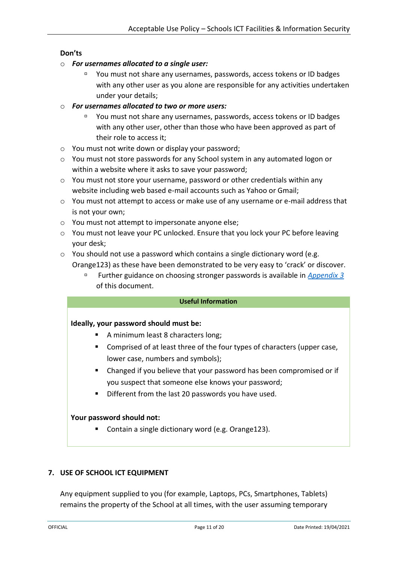# **Don'ts**

- o *For usernames allocated to a single user:*
	- <sup>n</sup> You must not share any usernames, passwords, access tokens or ID badges with any other user as you alone are responsible for any activities undertaken under your details;
- o *For usernames allocated to two or more users:*
	- <sup>n</sup> You must not share any usernames, passwords, access tokens or ID badges with any other user, other than those who have been approved as part of their role to access it;
- o You must not write down or display your password;
- $\circ$  You must not store passwords for any School system in any automated logon or within a website where it asks to save your password;
- o You must not store your username, password or other credentials within any website including web based e-mail accounts such as Yahoo or Gmail;
- o You must not attempt to access or make use of any username or e-mail address that is not your own;
- o You must not attempt to impersonate anyone else;
- o You must not leave your PC unlocked. Ensure that you lock your PC before leaving your desk;
- o You should not use a password which contains a single dictionary word (e.g. Orange123) as these have been demonstrated to be very easy to 'crack' or discover.
	- Further guidance on choosing stronger passwords is available in *[Appendix 3](#page-19-0)* of this document.

# **Useful Information**

# **Ideally, your password should must be:**

- A minimum least 8 characters long;
- Comprised of at least three of the four types of characters (upper case, lower case, numbers and symbols);
- Changed if you believe that your password has been compromised or if you suspect that someone else knows your password;
- Different from the last 20 passwords you have used.

# **Your password should not:**

■ Contain a single dictionary word (e.g. Orange123).

# **7. USE OF SCHOOL ICT EQUIPMENT**

Any equipment supplied to you (for example, Laptops, PCs, Smartphones, Tablets) remains the property of the School at all times, with the user assuming temporary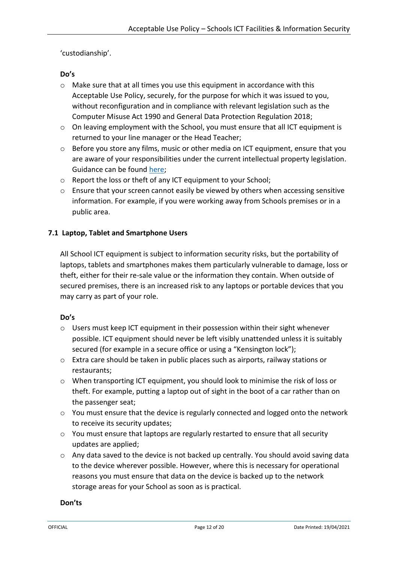# 'custodianship'.

# **Do's**

- o Make sure that at all times you use this equipment in accordance with this Acceptable Use Policy, securely, for the purpose for which it was issued to you, without reconfiguration and in compliance with relevant legislation such as the Computer Misuse Act 1990 and General Data Protection Regulation 2018;
- o On leaving employment with the School, you must ensure that all ICT equipment is returned to your line manager or the Head Teacher;
- $\circ$  Before you store any films, music or other media on ICT equipment, ensure that you are aware of your responsibilities under the current intellectual property legislation. Guidance can be found [here;](https://www.gov.uk/intellectual-property-an-overview)
- o Report the loss or theft of any ICT equipment to your School;
- $\circ$  Ensure that your screen cannot easily be viewed by others when accessing sensitive information. For example, if you were working away from Schools premises or in a public area.

# **7.1 Laptop, Tablet and Smartphone Users**

All School ICT equipment is subject to information security risks, but the portability of laptops, tablets and smartphones makes them particularly vulnerable to damage, loss or theft, either for their re-sale value or the information they contain. When outside of secured premises, there is an increased risk to any laptops or portable devices that you may carry as part of your role.

# **Do's**

- $\circ$  Users must keep ICT equipment in their possession within their sight whenever possible. ICT equipment should never be left visibly unattended unless it is suitably secured (for example in a secure office or using a "Kensington lock");
- $\circ$  Extra care should be taken in public places such as airports, railway stations or restaurants;
- o When transporting ICT equipment, you should look to minimise the risk of loss or theft. For example, putting a laptop out of sight in the boot of a car rather than on the passenger seat;
- o You must ensure that the device is regularly connected and logged onto the network to receive its security updates;
- o You must ensure that laptops are regularly restarted to ensure that all security updates are applied;
- $\circ$  Any data saved to the device is not backed up centrally. You should avoid saving data to the device wherever possible. However, where this is necessary for operational reasons you must ensure that data on the device is backed up to the network storage areas for your School as soon as is practical.

# **Don'ts**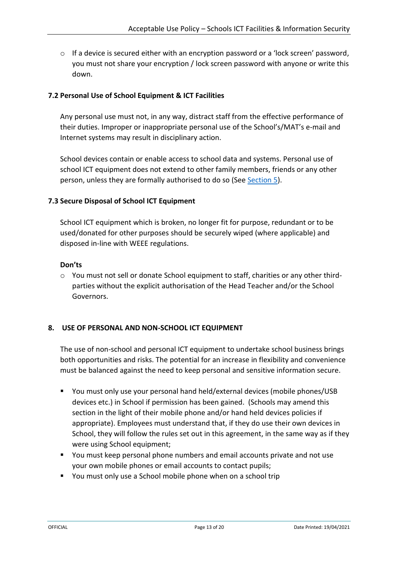$\circ$  If a device is secured either with an encryption password or a 'lock screen' password, you must not share your encryption / lock screen password with anyone or write this down.

# **7.2 Personal Use of School Equipment & ICT Facilities**

Any personal use must not, in any way, distract staff from the effective performance of their duties. Improper or inappropriate personal use of the School's/MAT's e-mail and Internet systems may result in disciplinary action.

School devices contain or enable access to school data and systems. Personal use of school ICT equipment does not extend to other family members, friends or any other person, unless they are formally authorised to do so (See [Section 5\)](#page-15-0).

# **7.3 Secure Disposal of School ICT Equipment**

School ICT equipment which is broken, no longer fit for purpose, redundant or to be used/donated for other purposes should be securely wiped (where applicable) and disposed in-line with WEEE regulations.

# **Don'ts**

o You must not sell or donate School equipment to staff, charities or any other thirdparties without the explicit authorisation of the Head Teacher and/or the School Governors.

# **8. USE OF PERSONAL AND NON-SCHOOL ICT EQUIPMENT**

The use of non-school and personal ICT equipment to undertake school business brings both opportunities and risks. The potential for an increase in flexibility and convenience must be balanced against the need to keep personal and sensitive information secure.

- You must only use your personal hand held/external devices (mobile phones/USB devices etc.) in School if permission has been gained. (Schools may amend this section in the light of their mobile phone and/or hand held devices policies if appropriate). Employees must understand that, if they do use their own devices in School, they will follow the rules set out in this agreement, in the same way as if they were using School equipment;
- You must keep personal phone numbers and email accounts private and not use your own mobile phones or email accounts to contact pupils;
- You must only use a School mobile phone when on a school trip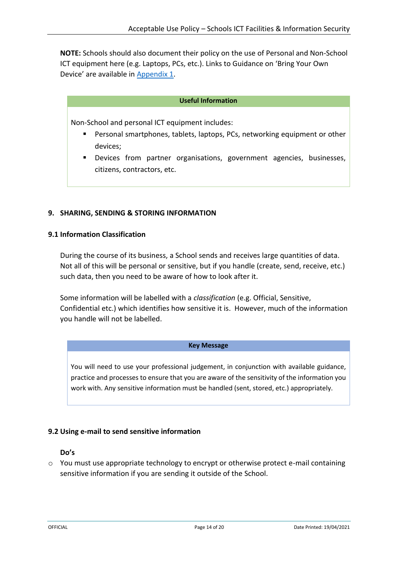**NOTE:** Schools should also document their policy on the use of Personal and Non-School ICT equipment here (e.g. Laptops, PCs, etc.). Links to Guidance on 'Bring Your Own Device' are available in [Appendix 1.](#page-17-0)

### **Useful Information**

Non-School and personal ICT equipment includes:

- Personal smartphones, tablets, laptops, PCs, networking equipment or other devices;
- Devices from partner organisations, government agencies, businesses, citizens, contractors, etc.

# **9. SHARING, SENDING & STORING INFORMATION**

# **9.1 Information Classification**

During the course of its business, a School sends and receives large quantities of data. Not all of this will be personal or sensitive, but if you handle (create, send, receive, etc.) such data, then you need to be aware of how to look after it.

Some information will be labelled with a *classification* (e.g. Official, Sensitive, Confidential etc.) which identifies how sensitive it is. However, much of the information you handle will not be labelled.

#### **Key Message**

You will need to use your professional judgement, in conjunction with available guidance, practice and processes to ensure that you are aware of the sensitivity of the information you work with. Any sensitive information must be handled (sent, stored, etc.) appropriately.

# <span id="page-13-0"></span>**9.2 Using e-mail to send sensitive information**

# **Do's**

 $\circ$  You must use appropriate technology to encrypt or otherwise protect e-mail containing sensitive information if you are sending it outside of the School.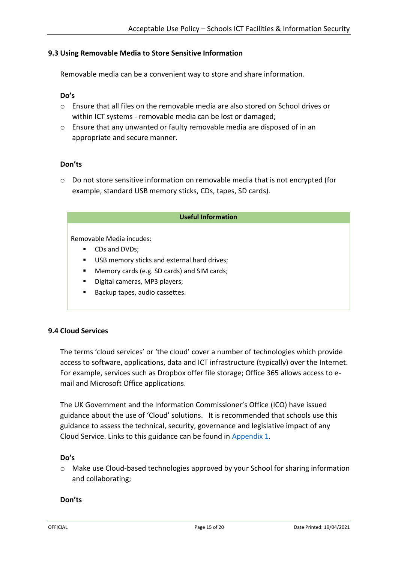# **9.3 Using Removable Media to Store Sensitive Information**

Removable media can be a convenient way to store and share information.

# **Do's**

- o Ensure that all files on the removable media are also stored on School drives or within ICT systems - removable media can be lost or damaged;
- o Ensure that any unwanted or faulty removable media are disposed of in an appropriate and secure manner.

# **Don'ts**

o Do not store sensitive information on removable media that is not encrypted (for example, standard USB memory sticks, CDs, tapes, SD cards).

#### **Useful Information**

Removable Media incudes:

- CDs and DVDs;
- USB memory sticks and external hard drives;
- Memory cards (e.g. SD cards) and SIM cards;
- Digital cameras, MP3 players;
- Backup tapes, audio cassettes.

#### **9.4 Cloud Services**

The terms 'cloud services' or 'the cloud' cover a number of technologies which provide access to software, applications, data and ICT infrastructure (typically) over the Internet. For example, services such as Dropbox offer file storage; Office 365 allows access to email and Microsoft Office applications.

The UK Government and the Information Commissioner's Office (ICO) have issued guidance about the use of 'Cloud' solutions. It is recommended that schools use this guidance to assess the technical, security, governance and legislative impact of any Cloud Service. Links to this guidance can be found in [Appendix 1.](#page-17-0)

#### **Do's**

o Make use Cloud-based technologies approved by your School for sharing information and collaborating;

#### **Don'ts**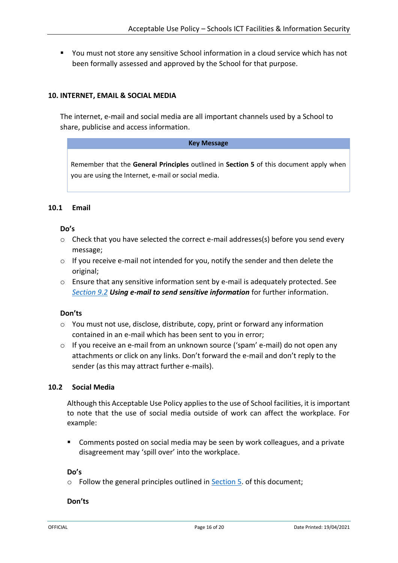■ You must not store any sensitive School information in a cloud service which has not been formally assessed and approved by the School for that purpose.

# **10. INTERNET, EMAIL & SOCIAL MEDIA**

The internet, e-mail and social media are all important channels used by a School to share, publicise and access information.

#### **Key Message**

Remember that the **General Principles** outlined in **Section 5** of this document apply when you are using the Internet, e-mail or social media.

# **10.1 Email**

#### **Do's**

- $\circ$  Check that you have selected the correct e-mail addresses(s) before you send every message;
- $\circ$  If you receive e-mail not intended for you, notify the sender and then delete the original;
- o Ensure that any sensitive information sent by e-mail is adequately protected. See *[Section 9.2](#page-13-0) Using e-mail to send sensitive information* for further information.

### **Don'ts**

- $\circ$  You must not use, disclose, distribute, copy, print or forward any information contained in an e-mail which has been sent to you in error;
- o If you receive an e-mail from an unknown source ('spam' e-mail) do not open any attachments or click on any links. Don't forward the e-mail and don't reply to the sender (as this may attract further e-mails).

#### **10.2 Social Media**

Although this Acceptable Use Policy applies to the use of School facilities, it is important to note that the use of social media outside of work can affect the workplace. For example:

■ Comments posted on social media may be seen by work colleagues, and a private disagreement may 'spill over' into the workplace.

#### **Do's**

<span id="page-15-0"></span> $\circ$  Follow the general principles outlined in [Section 5.](#page-15-0) of this document;

#### **Don'ts**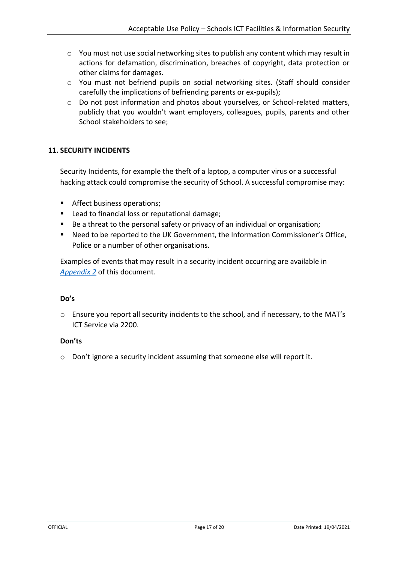- $\circ$  You must not use social networking sites to publish any content which may result in actions for defamation, discrimination, breaches of copyright, data protection or other claims for damages.
- o You must not befriend pupils on social networking sites. (Staff should consider carefully the implications of befriending parents or ex-pupils);
- o Do not post information and photos about yourselves, or School-related matters, publicly that you wouldn't want employers, colleagues, pupils, parents and other School stakeholders to see;

# **11. SECURITY INCIDENTS**

Security Incidents, for example the theft of a laptop, a computer virus or a successful hacking attack could compromise the security of School. A successful compromise may:

- Affect business operations;
- Lead to financial loss or reputational damage;
- Be a threat to the personal safety or privacy of an individual or organisation;
- Need to be reported to the UK Government, the Information Commissioner's Office, Police or a number of other organisations.

Examples of events that may result in a security incident occurring are available in *[Appendix 2](#page-18-0)* of this document.

#### **Do's**

o Ensure you report all security incidents to the school, and if necessary, to the MAT's ICT Service via 2200.

# **Don'ts**

o Don't ignore a security incident assuming that someone else will report it.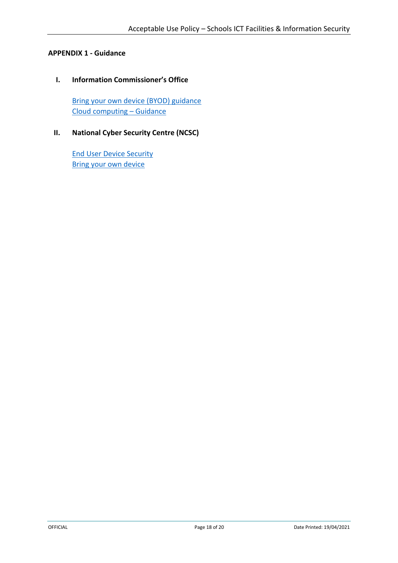# <span id="page-17-0"></span>**APPENDIX 1 - Guidance**

**I. Information Commissioner's Office**

[Bring your own device \(BYOD\) guidance](https://ico.org.uk/media/for-organisations/documents/1563/ico_bring_your_own_device_byod_guidance.pdf) [Cloud computing](https://ico.org.uk/media/for-organisations/documents/1540/cloud_computing_guidance_for_organisations.pdf) – Guidance

# **II. National Cyber Security Centre (NCSC)**

[End User Device Security](https://www.ncsc.gov.uk/guidance/end-user-device-security) [Bring your own device](https://www.ncsc.gov.uk/guidance/byod-executive-summary)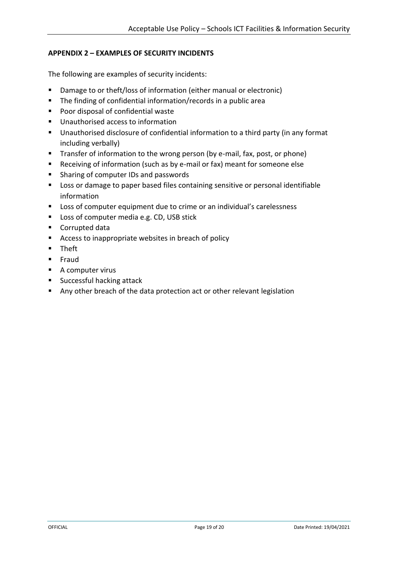# <span id="page-18-0"></span>**APPENDIX 2 – EXAMPLES OF SECURITY INCIDENTS**

The following are examples of security incidents:

- Damage to or theft/loss of information (either manual or electronic)
- The finding of confidential information/records in a public area
- Poor disposal of confidential waste
- Unauthorised access to information
- Unauthorised disclosure of confidential information to a third party (in any format including verbally)
- Transfer of information to the wrong person (by e-mail, fax, post, or phone)
- Receiving of information (such as by e-mail or fax) meant for someone else
- Sharing of computer IDs and passwords
- Loss or damage to paper based files containing sensitive or personal identifiable information
- Loss of computer equipment due to crime or an individual's carelessness
- Loss of computer media e.g. CD, USB stick
- Corrupted data
- Access to inappropriate websites in breach of policy
- Theft
- Fraud
- A computer virus
- Successful hacking attack
- Any other breach of the data protection act or other relevant legislation